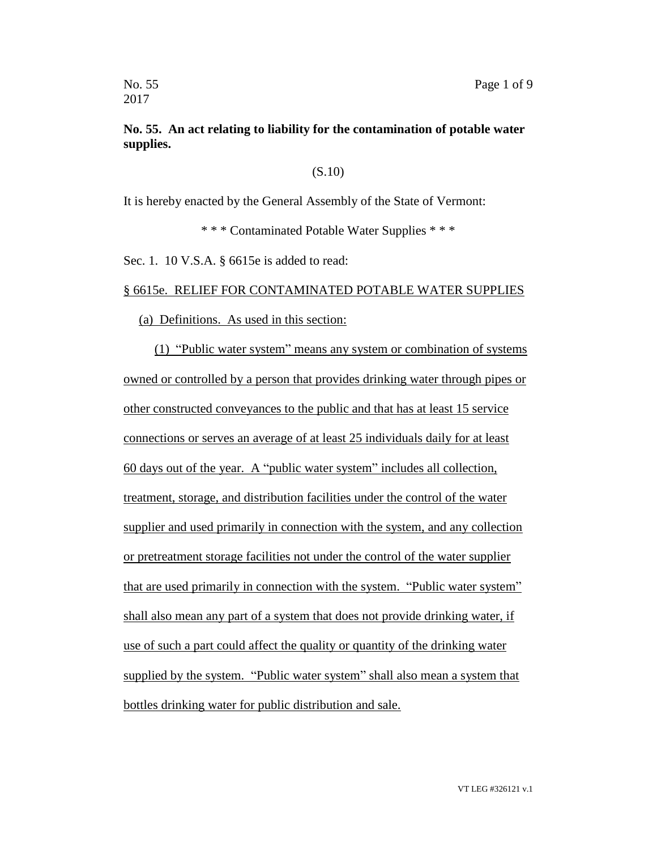# **No. 55. An act relating to liability for the contamination of potable water supplies.**

## (S.10)

It is hereby enacted by the General Assembly of the State of Vermont:

\* \* \* Contaminated Potable Water Supplies \* \* \*

Sec. 1. 10 V.S.A. § 6615e is added to read:

## § 6615e. RELIEF FOR CONTAMINATED POTABLE WATER SUPPLIES

#### (a) Definitions. As used in this section:

(1) "Public water system" means any system or combination of systems owned or controlled by a person that provides drinking water through pipes or other constructed conveyances to the public and that has at least 15 service connections or serves an average of at least 25 individuals daily for at least 60 days out of the year. A "public water system" includes all collection, treatment, storage, and distribution facilities under the control of the water supplier and used primarily in connection with the system, and any collection or pretreatment storage facilities not under the control of the water supplier that are used primarily in connection with the system. "Public water system" shall also mean any part of a system that does not provide drinking water, if use of such a part could affect the quality or quantity of the drinking water supplied by the system. "Public water system" shall also mean a system that bottles drinking water for public distribution and sale.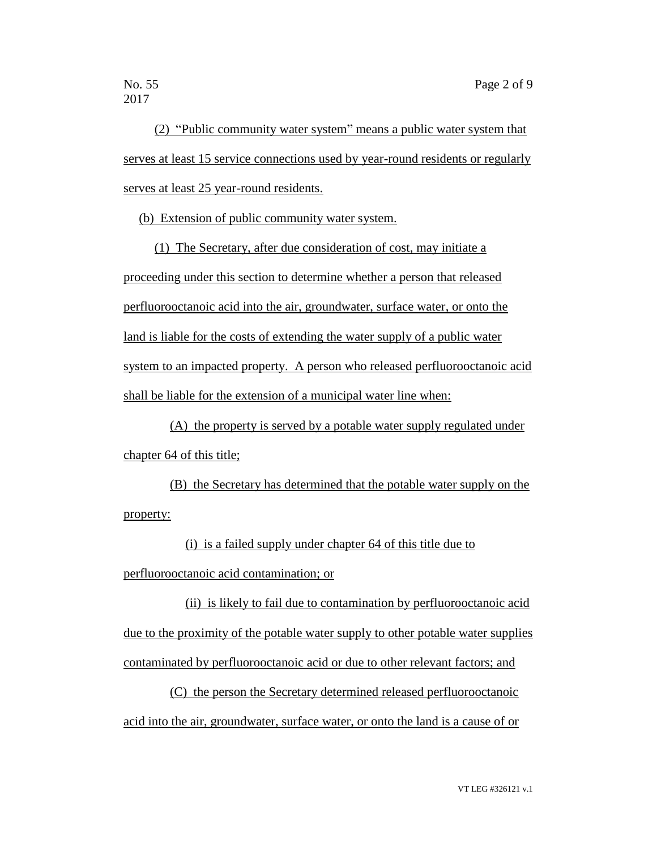(2) "Public community water system" means a public water system that serves at least 15 service connections used by year-round residents or regularly serves at least 25 year-round residents.

(b) Extension of public community water system.

(1) The Secretary, after due consideration of cost, may initiate a proceeding under this section to determine whether a person that released perfluorooctanoic acid into the air, groundwater, surface water, or onto the land is liable for the costs of extending the water supply of a public water system to an impacted property. A person who released perfluorooctanoic acid shall be liable for the extension of a municipal water line when:

(A) the property is served by a potable water supply regulated under chapter 64 of this title;

(B) the Secretary has determined that the potable water supply on the property:

(i) is a failed supply under chapter 64 of this title due to perfluorooctanoic acid contamination; or

(ii) is likely to fail due to contamination by perfluorooctanoic acid due to the proximity of the potable water supply to other potable water supplies contaminated by perfluorooctanoic acid or due to other relevant factors; and

(C) the person the Secretary determined released perfluorooctanoic acid into the air, groundwater, surface water, or onto the land is a cause of or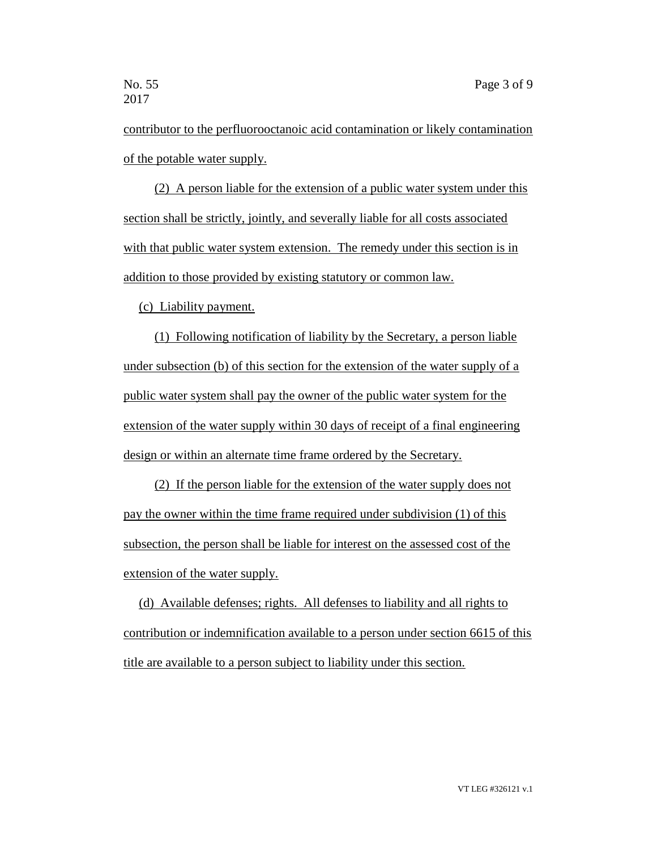contributor to the perfluorooctanoic acid contamination or likely contamination of the potable water supply.

(2) A person liable for the extension of a public water system under this section shall be strictly, jointly, and severally liable for all costs associated with that public water system extension. The remedy under this section is in addition to those provided by existing statutory or common law.

(c) Liability payment.

(1) Following notification of liability by the Secretary, a person liable under subsection (b) of this section for the extension of the water supply of a public water system shall pay the owner of the public water system for the extension of the water supply within 30 days of receipt of a final engineering design or within an alternate time frame ordered by the Secretary.

(2) If the person liable for the extension of the water supply does not pay the owner within the time frame required under subdivision (1) of this subsection, the person shall be liable for interest on the assessed cost of the extension of the water supply.

(d) Available defenses; rights. All defenses to liability and all rights to contribution or indemnification available to a person under section 6615 of this title are available to a person subject to liability under this section.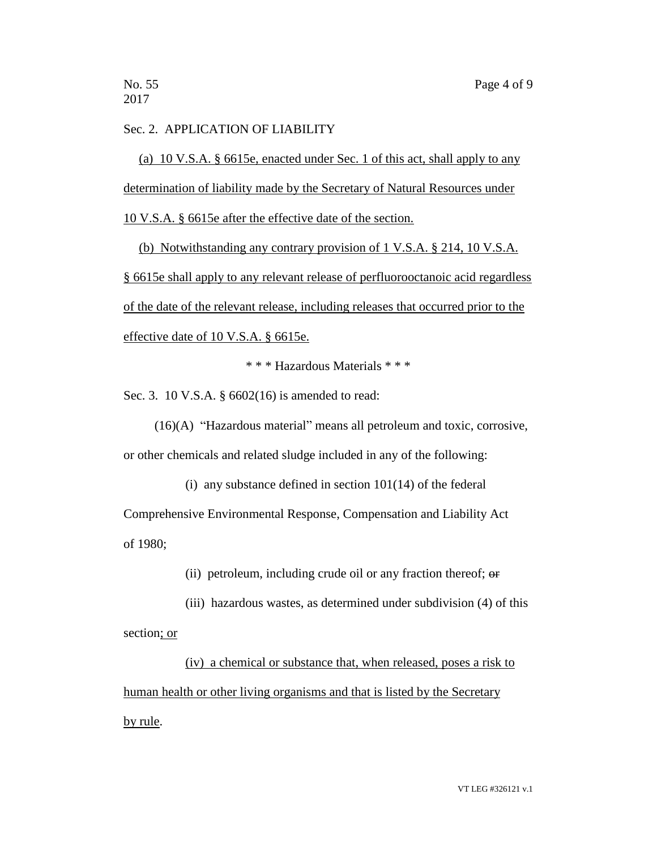## Sec. 2. APPLICATION OF LIABILITY

(a) 10 V.S.A. § 6615e, enacted under Sec. 1 of this act, shall apply to any determination of liability made by the Secretary of Natural Resources under 10 V.S.A. § 6615e after the effective date of the section.

(b) Notwithstanding any contrary provision of 1 V.S.A. § 214, 10 V.S.A. § 6615e shall apply to any relevant release of perfluorooctanoic acid regardless of the date of the relevant release, including releases that occurred prior to the effective date of 10 V.S.A. § 6615e.

\* \* \* Hazardous Materials \* \* \*

Sec. 3. 10 V.S.A. § 6602(16) is amended to read:

(16)(A) "Hazardous material" means all petroleum and toxic, corrosive, or other chemicals and related sludge included in any of the following:

(i) any substance defined in section  $101(14)$  of the federal Comprehensive Environmental Response, Compensation and Liability Act of 1980;

(ii) petroleum, including crude oil or any fraction thereof; or

(iii) hazardous wastes, as determined under subdivision (4) of this section; or

(iv) a chemical or substance that, when released, poses a risk to human health or other living organisms and that is listed by the Secretary by rule.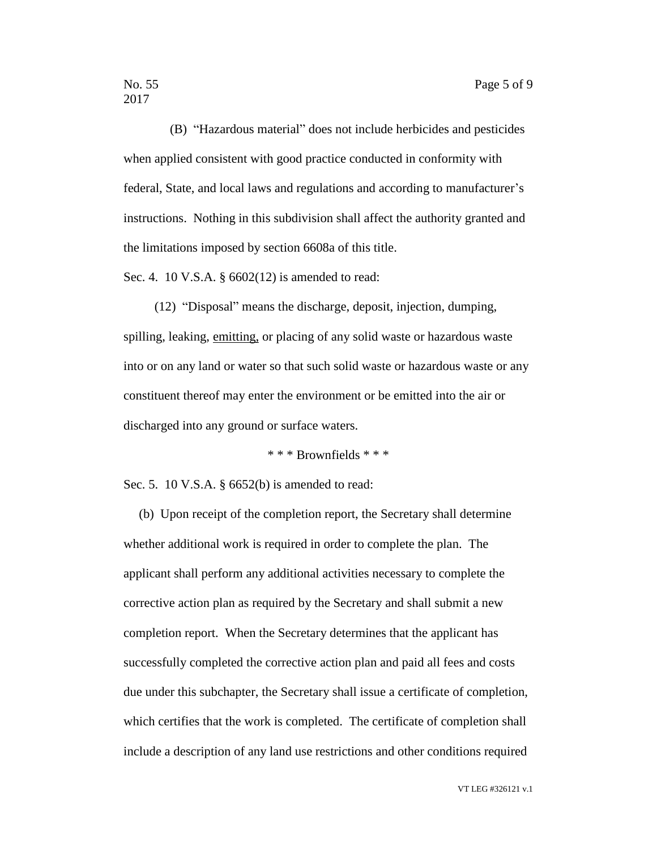(B) "Hazardous material" does not include herbicides and pesticides when applied consistent with good practice conducted in conformity with federal, State, and local laws and regulations and according to manufacturer's instructions. Nothing in this subdivision shall affect the authority granted and the limitations imposed by section 6608a of this title.

Sec. 4. 10 V.S.A. § 6602(12) is amended to read:

(12) "Disposal" means the discharge, deposit, injection, dumping, spilling, leaking, emitting, or placing of any solid waste or hazardous waste into or on any land or water so that such solid waste or hazardous waste or any constituent thereof may enter the environment or be emitted into the air or discharged into any ground or surface waters.

\* \* \* Brownfields \* \* \*

Sec. 5. 10 V.S.A. § 6652(b) is amended to read:

(b) Upon receipt of the completion report, the Secretary shall determine whether additional work is required in order to complete the plan. The applicant shall perform any additional activities necessary to complete the corrective action plan as required by the Secretary and shall submit a new completion report. When the Secretary determines that the applicant has successfully completed the corrective action plan and paid all fees and costs due under this subchapter, the Secretary shall issue a certificate of completion, which certifies that the work is completed. The certificate of completion shall include a description of any land use restrictions and other conditions required

VT LEG #326121 v.1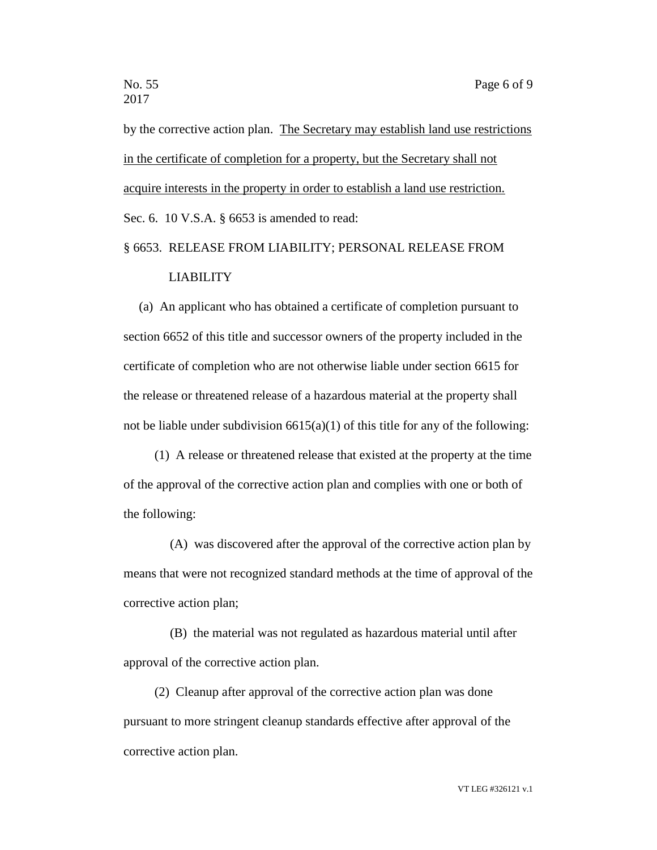by the corrective action plan. The Secretary may establish land use restrictions in the certificate of completion for a property, but the Secretary shall not acquire interests in the property in order to establish a land use restriction. Sec. 6. 10 V.S.A. § 6653 is amended to read:

# § 6653. RELEASE FROM LIABILITY; PERSONAL RELEASE FROM LIABILITY

(a) An applicant who has obtained a certificate of completion pursuant to section 6652 of this title and successor owners of the property included in the certificate of completion who are not otherwise liable under section 6615 for the release or threatened release of a hazardous material at the property shall not be liable under subdivision  $6615(a)(1)$  of this title for any of the following:

(1) A release or threatened release that existed at the property at the time of the approval of the corrective action plan and complies with one or both of the following:

(A) was discovered after the approval of the corrective action plan by means that were not recognized standard methods at the time of approval of the corrective action plan;

(B) the material was not regulated as hazardous material until after approval of the corrective action plan.

(2) Cleanup after approval of the corrective action plan was done pursuant to more stringent cleanup standards effective after approval of the corrective action plan.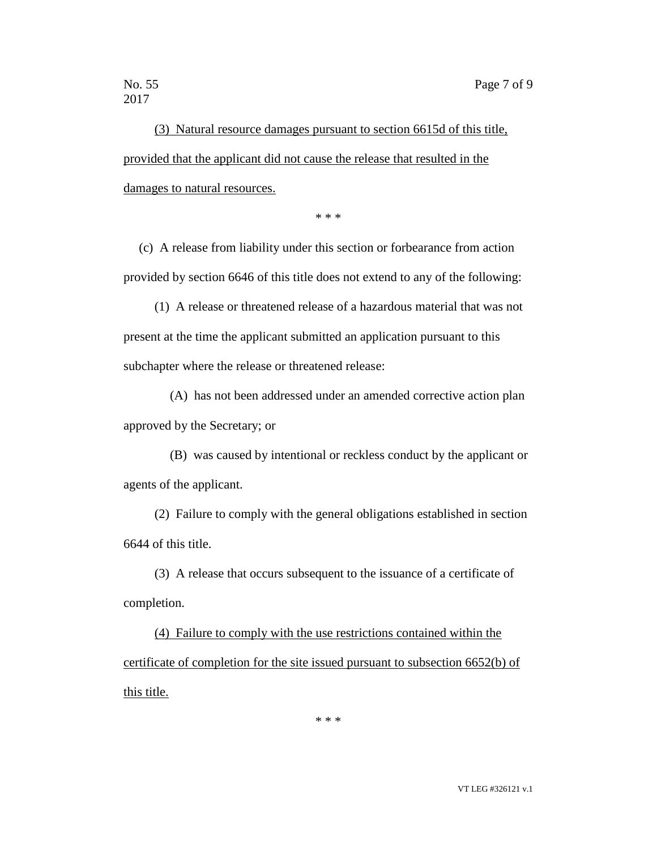(3) Natural resource damages pursuant to section 6615d of this title, provided that the applicant did not cause the release that resulted in the damages to natural resources.

\* \* \*

(c) A release from liability under this section or forbearance from action provided by section 6646 of this title does not extend to any of the following:

(1) A release or threatened release of a hazardous material that was not present at the time the applicant submitted an application pursuant to this subchapter where the release or threatened release:

(A) has not been addressed under an amended corrective action plan approved by the Secretary; or

(B) was caused by intentional or reckless conduct by the applicant or agents of the applicant.

(2) Failure to comply with the general obligations established in section 6644 of this title.

(3) A release that occurs subsequent to the issuance of a certificate of completion.

(4) Failure to comply with the use restrictions contained within the certificate of completion for the site issued pursuant to subsection 6652(b) of this title.

\* \* \*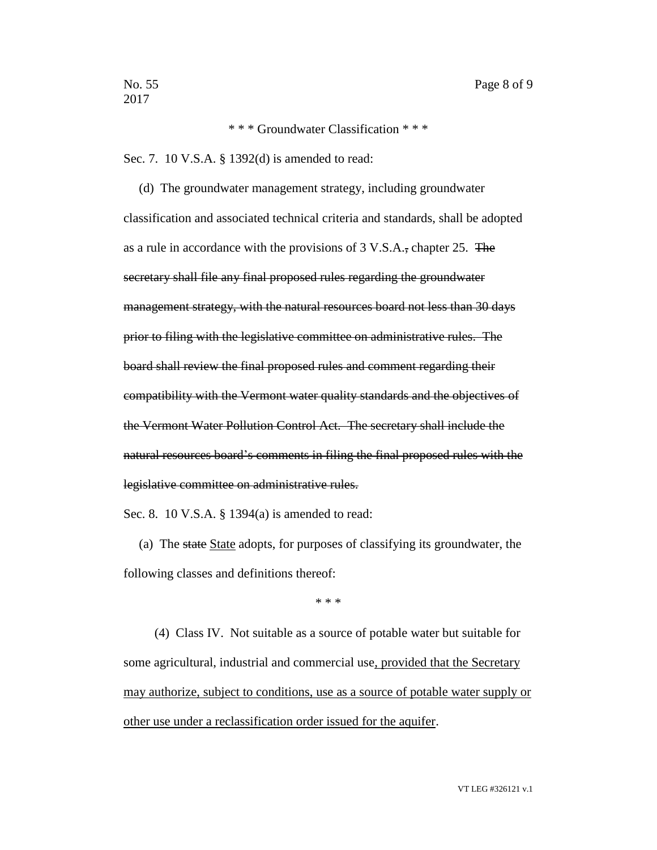\* \* \* Groundwater Classification \* \* \*

Sec. 7. 10 V.S.A. § 1392(d) is amended to read:

(d) The groundwater management strategy, including groundwater classification and associated technical criteria and standards, shall be adopted as a rule in accordance with the provisions of 3 V.S.A., chapter 25. The secretary shall file any final proposed rules regarding the groundwater management strategy, with the natural resources board not less than 30 days prior to filing with the legislative committee on administrative rules. The board shall review the final proposed rules and comment regarding their compatibility with the Vermont water quality standards and the objectives of the Vermont Water Pollution Control Act. The secretary shall include the natural resources board's comments in filing the final proposed rules with the legislative committee on administrative rules.

Sec. 8. 10 V.S.A. § 1394(a) is amended to read:

(a) The state State adopts, for purposes of classifying its groundwater, the following classes and definitions thereof:

\* \* \*

(4) Class IV. Not suitable as a source of potable water but suitable for some agricultural, industrial and commercial use, provided that the Secretary may authorize, subject to conditions, use as a source of potable water supply or other use under a reclassification order issued for the aquifer.